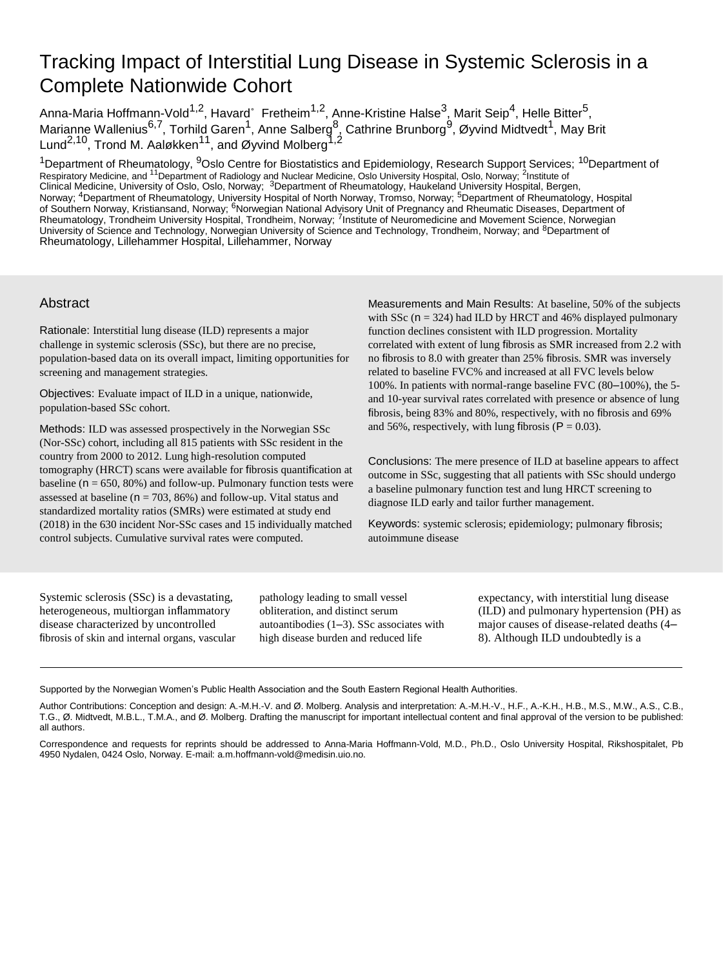# Tracking Impact of Interstitial Lung Disease in Systemic Sclerosis in a Complete Nationwide Cohort

Anna-Maria Hoffmann-Vold $^{1,2}$ , Havard $^{\circ}\,$  Fretheim $^{1,2}$ , Anne-Kristine Halse $^3$ , Marit Seip $^4$ , Helle Bitter $^5$ , Marianne Wallenius<sup>6,7</sup>, Torhild Garen<sup>1</sup>, Anne Salberg<sup>8</sup>, Cathrine Brunborg<sup>9</sup>, Øyvind Midtvedt<sup>1</sup>, May Brit Lund<sup>2,10</sup>, Trond M. Aaløkken<sup>11</sup>, and Øyvind Molberg<sup>1,2</sup>

<sup>1</sup>Department of Rheumatology, <sup>9</sup>Oslo Centre for Biostatistics and Epidemiology, Research Support Services; <sup>10</sup>Department of Respiratory Medicine, and <sup>11</sup>Department of Radiology and Nuclear Medicine, Oslo University Hospital, Oslo, Norway; <sup>2</sup>Institute of<br>Clinical Medicine, University of Oslo, Oslo, Norway; <sup>3</sup>Department of Rheumatology, Haukel Norway; <sup>4</sup>Department of Rheumatology, University Hospital of North Norway, Tromso, Norway; <sup>5</sup>Department of Rheumatology, Hospital of Southern Norway, Kristiansand, Norway; <sup>6</sup>Norwegian National Advisory Unit of Pregnancy and Rheumatic Diseases, Department of Rheumatology, Trondheim University Hospital, Trondheim, Norway; <sup>7</sup>Institute of Neuromedicine and Movement Science, Norwegian University of Science and Technology, Norwegian University of Science and Technology, Trondheim, Norway; and <sup>8</sup>Department of Rheumatology, Lillehammer Hospital, Lillehammer, Norway

## Abstract

Rationale: Interstitial lung disease (ILD) represents a major challenge in systemic sclerosis (SSc), but there are no precise, population-based data on its overall impact, limiting opportunities for screening and management strategies.

Objectives: Evaluate impact of ILD in a unique, nationwide, population-based SSc cohort.

Methods: ILD was assessed prospectively in the Norwegian SSc (Nor-SSc) cohort, including all 815 patients with SSc resident in the country from 2000 to 2012. Lung high-resolution computed tomography (HRCT) scans were available for fibrosis quantification at baseline ( $n = 650, 80\%$ ) and follow-up. Pulmonary function tests were assessed at baseline ( $n = 703, 86\%$ ) and follow-up. Vital status and standardized mortality ratios (SMRs) were estimated at study end (2018) in the 630 incident Nor-SSc cases and 15 individually matched control subjects. Cumulative survival rates were computed.

Measurements and Main Results: At baseline, 50% of the subjects with SSc ( $n = 324$ ) had ILD by HRCT and 46% displayed pulmonary function declines consistent with ILD progression. Mortality correlated with extent of lung fibrosis as SMR increased from 2.2 with no fibrosis to 8.0 with greater than 25% fibrosis. SMR was inversely related to baseline FVC% and increased at all FVC levels below 100%. In patients with normal-range baseline FVC (80–100%), the 5 and 10-year survival rates correlated with presence or absence of lung fibrosis, being 83% and 80%, respectively, with no fibrosis and 69% and 56%, respectively, with lung fibrosis ( $P = 0.03$ ).

Conclusions: The mere presence of ILD at baseline appears to affect outcome in SSc, suggesting that all patients with SSc should undergo a baseline pulmonary function test and lung HRCT screening to diagnose ILD early and tailor further management.

Keywords: systemic sclerosis; epidemiology; pulmonary fibrosis; autoimmune disease

Systemic sclerosis (SSc) is a devastating, heterogeneous, multiorgan inflammatory disease characterized by uncontrolled fibrosis of skin and internal organs, vascular

pathology leading to small vessel obliteration, and distinct serum autoantibodies (1–3). SSc associates with high disease burden and reduced life

expectancy, with interstitial lung disease (ILD) and pulmonary hypertension (PH) as major causes of disease-related deaths (4– 8). Although ILD undoubtedly is a

Supported by the Norwegian Women's Public Health Association and the South Eastern Regional Health Authorities.

Author Contributions: Conception and design: A.-M.H.-V. and Ø. Molberg. Analysis and interpretation: A.-M.H.-V., H.F., A.-K.H., H.B., M.S., M.W., A.S., C.B., T.G., Ø. Midtvedt, M.B.L., T.M.A., and Ø. Molberg. Drafting the manuscript for important intellectual content and final approval of the version to be published: all authors.

Correspondence and requests for reprints should be addressed to Anna-Maria Hoffmann-Vold, M.D., Ph.D., Oslo University Hospital, Rikshospitalet, Pb 4950 Nydalen, 0424 Oslo, Norway. E-mail: [a.m.hoffmann-vold@medisin.uio.no.](mailto:a.m.hoffmann-vold@medisin.uio.no)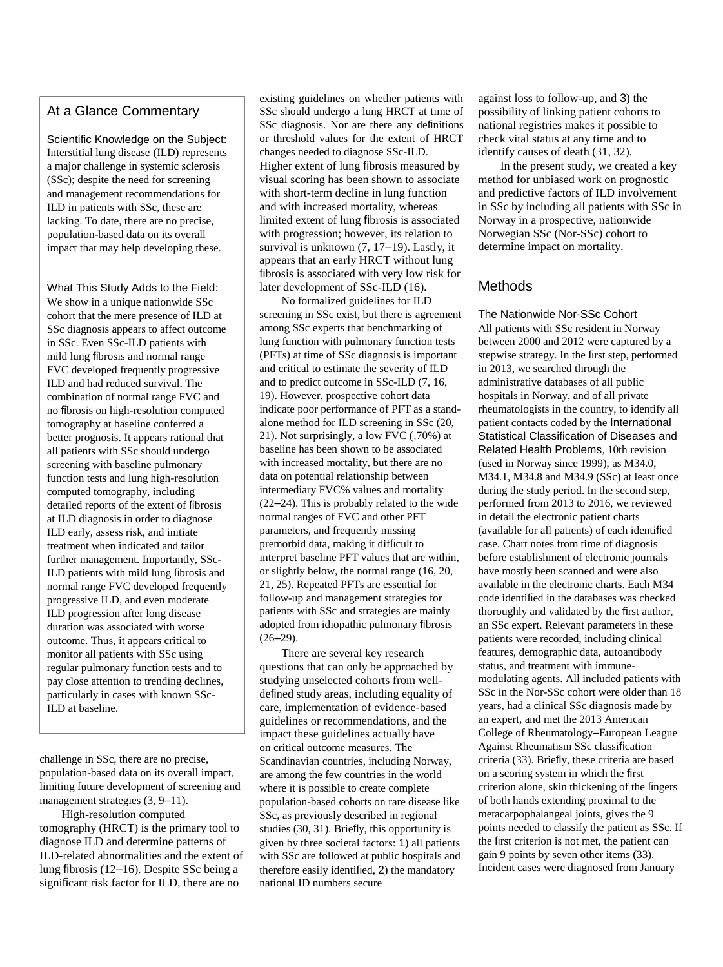## At a Glance Commentary

Scientific Knowledge on the Subject: Interstitial lung disease (ILD) represents a major challenge in systemic sclerosis (SSc); despite the need for screening and management recommendations for ILD in patients with SSc, these are lacking. To date, there are no precise, population-based data on its overall impact that may help developing these.

What This Study Adds to the Field: We show in a unique nationwide SSc cohort that the mere presence of ILD at SSc diagnosis appears to affect outcome in SSc. Even SSc-ILD patients with mild lung fibrosis and normal range FVC developed frequently progressive ILD and had reduced survival. The combination of normal range FVC and no fibrosis on high-resolution computed tomography at baseline conferred a better prognosis. It appears rational that all patients with SSc should undergo screening with baseline pulmonary function tests and lung high-resolution computed tomography, including detailed reports of the extent of fibrosis at ILD diagnosis in order to diagnose ILD early, assess risk, and initiate treatment when indicated and tailor further management. Importantly, SSc-ILD patients with mild lung fibrosis and normal range FVC developed frequently progressive ILD, and even moderate ILD progression after long disease duration was associated with worse outcome. Thus, it appears critical to monitor all patients with SSc using regular pulmonary function tests and to pay close attention to trending declines, particularly in cases with known SSc-ILD at baseline.

challenge in SSc, there are no precise, population-based data on its overall impact, limiting future development of screening and management strategies  $(3, 9-11)$ .

High-resolution computed tomography (HRCT) is the primary tool to diagnose ILD and determine patterns of ILD-related abnormalities and the extent of lung fibrosis (12–16). Despite SSc being a significant risk factor for ILD, there are no

existing guidelines on whether patients with SSc should undergo a lung HRCT at time of SSc diagnosis. Nor are there any definitions or threshold values for the extent of HRCT changes needed to diagnose SSc-ILD. Higher extent of lung fibrosis measured by visual scoring has been shown to associate with short-term decline in lung function and with increased mortality, whereas limited extent of lung fibrosis is associated with progression; however, its relation to survival is unknown (7, 17–19). Lastly, it appears that an early HRCT without lung fibrosis is associated with very low risk for later development of SSc-ILD (16).

No formalized guidelines for ILD screening in SSc exist, but there is agreement among SSc experts that benchmarking of lung function with pulmonary function tests (PFTs) at time of SSc diagnosis is important and critical to estimate the severity of ILD and to predict outcome in SSc-ILD (7, 16, 19). However, prospective cohort data indicate poor performance of PFT as a standalone method for ILD screening in SSc (20, 21). Not surprisingly, a low FVC (,70%) at baseline has been shown to be associated with increased mortality, but there are no data on potential relationship between intermediary FVC% values and mortality (22–24). This is probably related to the wide normal ranges of FVC and other PFT parameters, and frequently missing premorbid data, making it difficult to interpret baseline PFT values that are within, or slightly below, the normal range (16, 20, 21, 25). Repeated PFTs are essential for follow-up and management strategies for patients with SSc and strategies are mainly adopted from idiopathic pulmonary fibrosis  $(26-29)$ .

There are several key research questions that can only be approached by studying unselected cohorts from welldefined study areas, including equality of care, implementation of evidence-based guidelines or recommendations, and the impact these guidelines actually have on critical outcome measures. The Scandinavian countries, including Norway, are among the few countries in the world where it is possible to create complete population-based cohorts on rare disease like SSc, as previously described in regional studies (30, 31). Briefly, this opportunity is given by three societal factors: 1) all patients with SSc are followed at public hospitals and therefore easily identified, 2) the mandatory national ID numbers secure

against loss to follow-up, and 3) the possibility of linking patient cohorts to national registries makes it possible to check vital status at any time and to identify causes of death (31, 32).

In the present study, we created a key method for unbiased work on prognostic and predictive factors of ILD involvement in SSc by including all patients with SSc in Norway in a prospective, nationwide Norwegian SSc (Nor-SSc) cohort to determine impact on mortality.

## Methods

The Nationwide Nor-SSc Cohort All patients with SSc resident in Norway between 2000 and 2012 were captured by a stepwise strategy. In the first step, performed in 2013, we searched through the administrative databases of all public hospitals in Norway, and of all private rheumatologists in the country, to identify all patient contacts coded by the International Statistical Classification of Diseases and Related Health Problems, 10th revision (used in Norway since 1999), as M34.0, M34.1, M34.8 and M34.9 (SSc) at least once during the study period. In the second step, performed from 2013 to 2016, we reviewed in detail the electronic patient charts (available for all patients) of each identified case. Chart notes from time of diagnosis before establishment of electronic journals have mostly been scanned and were also available in the electronic charts. Each M34 code identified in the databases was checked thoroughly and validated by the first author, an SSc expert. Relevant parameters in these patients were recorded, including clinical features, demographic data, autoantibody status, and treatment with immunemodulating agents. All included patients with SSc in the Nor-SSc cohort were older than 18 years, had a clinical SSc diagnosis made by an expert, and met the 2013 American College of Rheumatology–European League Against Rheumatism SSc classification criteria (33). Briefly, these criteria are based on a scoring system in which the first criterion alone, skin thickening of the fingers of both hands extending proximal to the metacarpophalangeal joints, gives the 9 points needed to classify the patient as SSc. If the first criterion is not met, the patient can gain 9 points by seven other items (33). Incident cases were diagnosed from January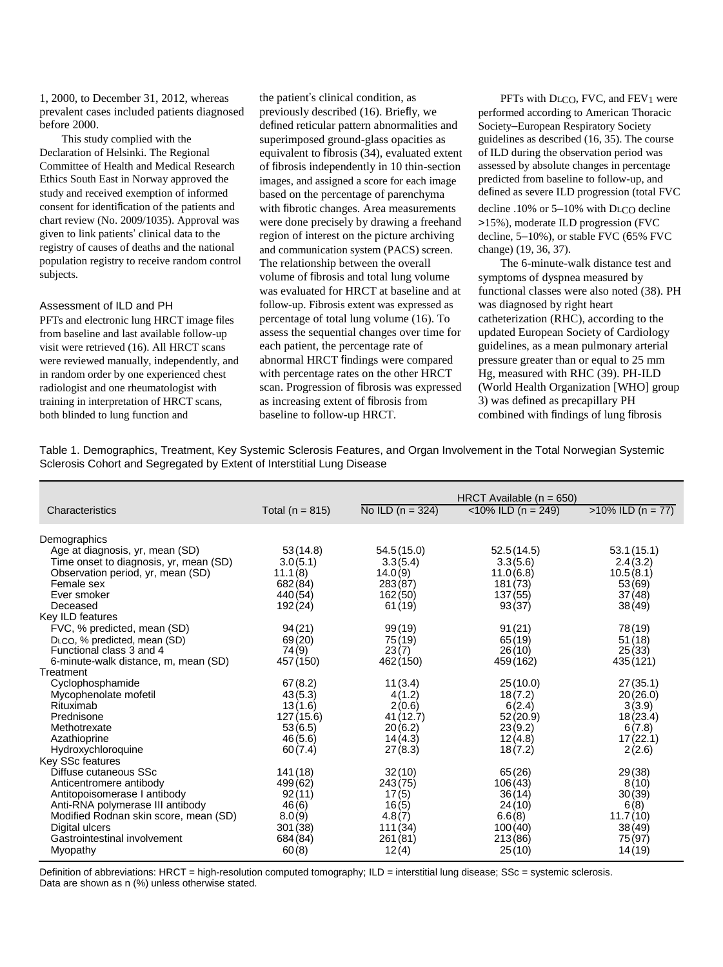1, 2000, to December 31, 2012, whereas prevalent cases included patients diagnosed before 2000.

This study complied with the Declaration of Helsinki. The Regional Committee of Health and Medical Research Ethics South East in Norway approved the study and received exemption of informed consent for identification of the patients and chart review (No. 2009/1035). Approval was given to link patients' clinical data to the registry of causes of deaths and the national population registry to receive random control subjects.

#### Assessment of ILD and PH

PFTs and electronic lung HRCT image files from baseline and last available follow-up visit were retrieved (16). All HRCT scans were reviewed manually, independently, and in random order by one experienced chest radiologist and one rheumatologist with training in interpretation of HRCT scans, both blinded to lung function and

the patient's clinical condition, as previously described (16). Briefly, we defined reticular pattern abnormalities and superimposed ground-glass opacities as equivalent to fibrosis (34), evaluated extent of fibrosis independently in 10 thin-section images, and assigned a score for each image based on the percentage of parenchyma with fibrotic changes. Area measurements were done precisely by drawing a freehand region of interest on the picture archiving and communication system (PACS) screen. The relationship between the overall volume of fibrosis and total lung volume was evaluated for HRCT at baseline and at follow-up. Fibrosis extent was expressed as percentage of total lung volume (16). To assess the sequential changes over time for each patient, the percentage rate of abnormal HRCT findings were compared with percentage rates on the other HRCT scan. Progression of fibrosis was expressed as increasing extent of fibrosis from baseline to follow-up HRCT.

PFTs with DLCO, FVC, and FEV1 were performed according to American Thoracic Society–European Respiratory Society guidelines as described (16, 35). The course of ILD during the observation period was assessed by absolute changes in percentage predicted from baseline to follow-up, and defined as severe ILD progression (total FVC decline .10% or 5–10% with DLCO decline >15%), moderate ILD progression (FVC decline, 5–10%), or stable FVC (65% FVC change) (19, 36, 37).

The 6-minute-walk distance test and symptoms of dyspnea measured by functional classes were also noted (38). PH was diagnosed by right heart catheterization (RHC), according to the updated European Society of Cardiology guidelines, as a mean pulmonary arterial pressure greater than or equal to 25 mm Hg, measured with RHC (39). PH-ILD (World Health Organization [WHO] group 3) was defined as precapillary PH combined with findings of lung fibrosis

Table 1. Demographics, Treatment, Key Systemic Sclerosis Features, and Organ Involvement in the Total Norwegian Systemic Sclerosis Cohort and Segregated by Extent of Interstitial Lung Disease

|                                                                                                                                                                                                                                                 |                                                                                  |                                                                               | HRCT Available $(n = 650)$                                                       |                                                                             |  |
|-------------------------------------------------------------------------------------------------------------------------------------------------------------------------------------------------------------------------------------------------|----------------------------------------------------------------------------------|-------------------------------------------------------------------------------|----------------------------------------------------------------------------------|-----------------------------------------------------------------------------|--|
| Characteristics                                                                                                                                                                                                                                 | Total ( $n = 815$ )                                                              | No ILD $(n = 324)$                                                            | $<$ 10% ILD (n = 249)                                                            | $>10\%$ ILD (n = 77)                                                        |  |
|                                                                                                                                                                                                                                                 |                                                                                  |                                                                               |                                                                                  |                                                                             |  |
| Demographics<br>Age at diagnosis, yr, mean (SD)<br>Time onset to diagnosis, yr, mean (SD)<br>Observation period, yr, mean (SD)<br>Female sex<br>Ever smoker<br>Deceased                                                                         | 53(14.8)<br>3.0(5.1)<br>11.1(8)<br>682(84)<br>440 (54)<br>192 (24)               | 54.5(15.0)<br>3.3(5.4)<br>14.0(9)<br>283(87)<br>162(50)<br>61(19)             | 52.5(14.5)<br>3.3(5.6)<br>11.0(6.8)<br>181 (73)<br>137(55)<br>93(37)             | 53.1(15.1)<br>2.4(3.2)<br>10.5(8.1)<br>53(69)<br>37(48)<br>38(49)           |  |
| Key ILD features<br>FVC, % predicted, mean (SD)<br>D <sub>LCO</sub> , % predicted, mean (SD)<br>Functional class 3 and 4<br>6-minute-walk distance, m, mean (SD)                                                                                | 94(21)<br>69(20)<br>74(9)<br>457 (150)                                           | 99(19)<br>75(19)<br>23(7)<br>462 (150)                                        | 91(21)<br>65(19)<br>26(10)<br>459 (162)                                          | 78(19)<br>51(18)<br>25(33)<br>435 (121)                                     |  |
| Treatment<br>Cyclophosphamide<br>Mycophenolate mofetil<br>Rituximab<br>Prednisone<br>Methotrexate<br>Azathioprine<br>Hydroxychloroquine                                                                                                         | 67(8.2)<br>43(5.3)<br>13(1.6)<br>127(15.6)<br>53(6.5)<br>46(5.6)<br>60(7.4)      | 11(3.4)<br>4(1.2)<br>2(0.6)<br>41(12.7)<br>20(6.2)<br>14(4.3)<br>27(8.3)      | 25(10.0)<br>18(7.2)<br>6(2.4)<br>52(20.9)<br>23(9.2)<br>12(4.8)<br>18(7.2)       | 27(35.1)<br>20(26.0)<br>3(3.9)<br>18(23.4)<br>6(7.8)<br>17(22.1)<br>2(2.6)  |  |
| Key SSc features<br>Diffuse cutaneous SSc<br>Anticentromere antibody<br>Antitopoisomerase I antibody<br>Anti-RNA polymerase III antibody<br>Modified Rodnan skin score, mean (SD)<br>Digital ulcers<br>Gastrointestinal involvement<br>Myopathy | 141(18)<br>499(62)<br>92(11)<br>46(6)<br>8.0(9)<br>301 (38)<br>684 (84)<br>60(8) | 32(10)<br>243(75)<br>17(5)<br>16(5)<br>4.8(7)<br>111 (34)<br>261(81)<br>12(4) | 65(26)<br>106(43)<br>36(14)<br>24(10)<br>6.6(8)<br>100(40)<br>213 (86)<br>25(10) | 29(38)<br>8(10)<br>30(39)<br>6(8)<br>11.7(10)<br>38(49)<br>75(97)<br>14(19) |  |

Definition of abbreviations: HRCT = high-resolution computed tomography; ILD = interstitial lung disease; SSc = systemic sclerosis. Data are shown as n (%) unless otherwise stated.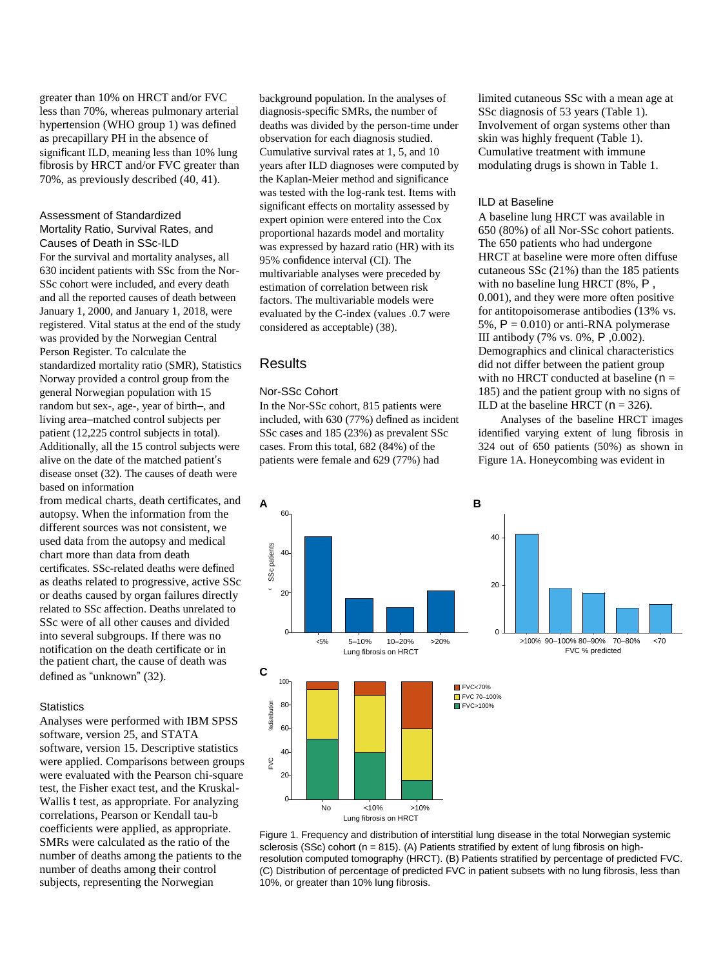greater than 10% on HRCT and/or FVC less than 70%, whereas pulmonary arterial hypertension (WHO group 1) was defined as precapillary PH in the absence of significant ILD, meaning less than 10% lung fibrosis by HRCT and/or FVC greater than 70%, as previously described (40, 41).

#### Assessment of Standardized Mortality Ratio, Survival Rates, and

Causes of Death in SSc-ILD For the survival and mortality analyses, all 630 incident patients with SSc from the Nor-SSc cohort were included, and every death and all the reported causes of death between January 1, 2000, and January 1, 2018, were registered. Vital status at the end of the study was provided by the Norwegian Central Person Register. To calculate the standardized mortality ratio (SMR), Statistics Norway provided a control group from the general Norwegian population with 15 random but sex-, age-, year of birth–, and living area–matched control subjects per patient (12,225 control subjects in total). Additionally, all the 15 control subjects were alive on the date of the matched patient's disease onset (32). The causes of death were based on information

from medical charts, death certificates, and autopsy. When the information from the different sources was not consistent, we used data from the autopsy and medical chart more than data from death certificates. SSc-related deaths were defined as deaths related to progressive, active SSc or deaths caused by organ failures directly related to SSc affection. Deaths unrelated to SSc were of all other causes and divided into several subgroups. If there was no notification on the death certificate or in the patient chart, the cause of death was defined as "unknown" (32).

## **Statistics**

Analyses were performed with IBM SPSS software, version 25, and STATA software, version 15. Descriptive statistics were applied. Comparisons between groups were evaluated with the Pearson chi-square test, the Fisher exact test, and the Kruskal-Wallis t test, as appropriate. For analyzing correlations, Pearson or Kendall tau-b coefficients were applied, as appropriate. SMRs were calculated as the ratio of the number of deaths among the patients to the number of deaths among their control subjects, representing the Norwegian

background population. In the analyses of diagnosis-specific SMRs, the number of deaths was divided by the person-time under observation for each diagnosis studied. Cumulative survival rates at 1, 5, and 10 years after ILD diagnoses were computed by the Kaplan-Meier method and significance was tested with the log-rank test. Items with significant effects on mortality assessed by expert opinion were entered into the Cox proportional hazards model and mortality was expressed by hazard ratio (HR) with its 95% confidence interval (CI). The multivariable analyses were preceded by estimation of correlation between risk factors. The multivariable models were evaluated by the C-index (values .0.7 were considered as acceptable) (38).

## Results

## Nor-SSc Cohort

In the Nor-SSc cohort, 815 patients were included, with 630 (77%) defined as incident SSc cases and 185 (23%) as prevalent SSc cases. From this total, 682 (84%) of the patients were female and 629 (77%) had

limited cutaneous SSc with a mean age at SSc diagnosis of 53 years (Table 1). Involvement of organ systems other than skin was highly frequent (Table 1). Cumulative treatment with immune modulating drugs is shown in Table 1.

#### ILD at Baseline

A baseline lung HRCT was available in 650 (80%) of all Nor-SSc cohort patients. The 650 patients who had undergone HRCT at baseline were more often diffuse cutaneous SSc (21%) than the 185 patients with no baseline lung HRCT (8%, P, 0.001), and they were more often positive for antitopoisomerase antibodies (13% vs. 5%,  $P = 0.010$  or anti-RNA polymerase III antibody (7% vs. 0%, P ,0.002). Demographics and clinical characteristics did not differ between the patient group with no HRCT conducted at baseline  $(n =$ 185) and the patient group with no signs of ILD at the baseline HRCT ( $n = 326$ ).

Analyses of the baseline HRCT images identified varying extent of lung fibrosis in 324 out of 650 patients (50%) as shown in Figure 1A. Honeycombing was evident in



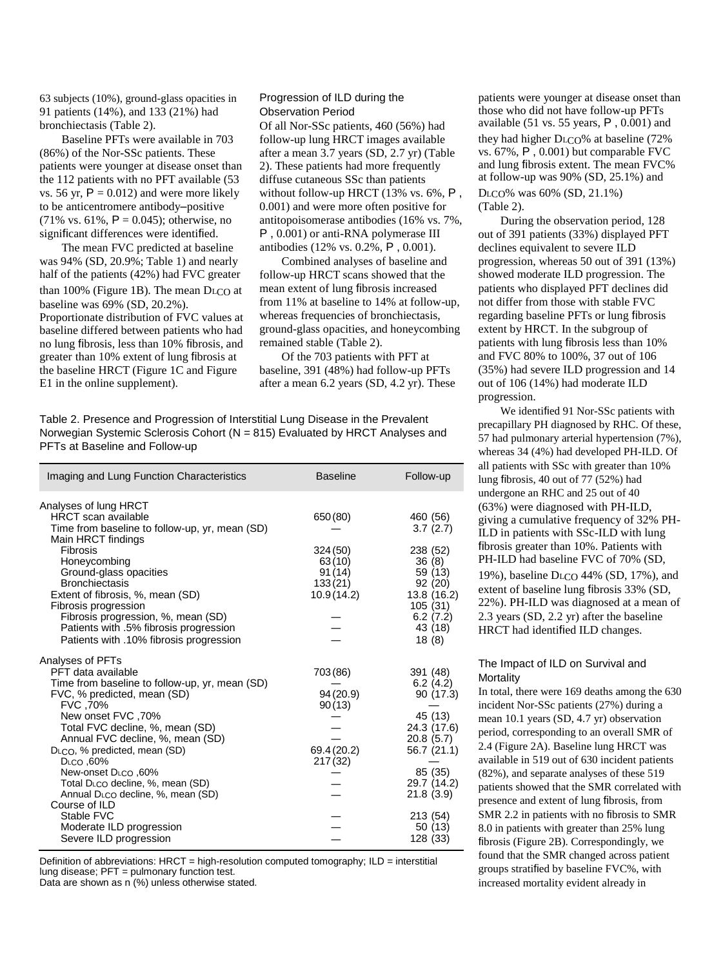63 subjects (10%), ground-glass opacities in 91 patients (14%), and 133 (21%) had bronchiectasis (Table 2).

Baseline PFTs were available in 703 (86%) of the Nor-SSc patients. These patients were younger at disease onset than the 112 patients with no PFT available (53 vs. 56 yr,  $P = 0.012$ ) and were more likely to be anticentromere antibody–positive (71% vs. 61%,  $P = 0.045$ ); otherwise, no significant differences were identified.

The mean FVC predicted at baseline was 94% (SD, 20.9%; Table 1) and nearly half of the patients (42%) had FVC greater than 100% (Figure 1B). The mean DLCO at baseline was 69% (SD, 20.2%). Proportionate distribution of FVC values at baseline differed between patients who had no lung fibrosis, less than 10% fibrosis, and greater than 10% extent of lung fibrosis at the baseline HRCT (Figure 1C and Figure E1 in the online supplement).

#### Progression of ILD during the Observation Period

Of all Nor-SSc patients, 460 (56%) had follow-up lung HRCT images available after a mean 3.7 years (SD, 2.7 yr) (Table 2). These patients had more frequently diffuse cutaneous SSc than patients without follow-up HRCT (13% vs. 6%, P, 0.001) and were more often positive for antitopoisomerase antibodies (16% vs. 7%, P , 0.001) or anti-RNA polymerase III antibodies (12% vs. 0.2%, P , 0.001).

Combined analyses of baseline and follow-up HRCT scans showed that the mean extent of lung fibrosis increased from 11% at baseline to 14% at follow-up, whereas frequencies of bronchiectasis, ground-glass opacities, and honeycombing remained stable (Table 2).

Of the 703 patients with PFT at baseline, 391 (48%) had follow-up PFTs after a mean 6.2 years (SD, 4.2 yr). These

Table 2. Presence and Progression of Interstitial Lung Disease in the Prevalent Norwegian Systemic Sclerosis Cohort (N = 815) Evaluated by HRCT Analyses and PFTs at Baseline and Follow-up

| Imaging and Lung Function Characteristics                                                                                                                                                                                                                                                                                                                                                                                            | <b>Baseline</b>                                           | Follow-up                                                                                                                                  |
|--------------------------------------------------------------------------------------------------------------------------------------------------------------------------------------------------------------------------------------------------------------------------------------------------------------------------------------------------------------------------------------------------------------------------------------|-----------------------------------------------------------|--------------------------------------------------------------------------------------------------------------------------------------------|
| Analyses of lung HRCT<br><b>HRCT</b> scan available<br>Time from baseline to follow-up, yr, mean (SD)                                                                                                                                                                                                                                                                                                                                | 650 (80)                                                  | 460 (56)<br>3.7(2.7)                                                                                                                       |
| Main HRCT findings<br>Fibrosis<br>Honeycombing<br>Ground-glass opacities<br><b>Bronchiectasis</b><br>Extent of fibrosis, %, mean (SD)<br>Fibrosis progression<br>Fibrosis progression, %, mean (SD)<br>Patients with .5% fibrosis progression<br>Patients with .10% fibrosis progression                                                                                                                                             | 324 (50)<br>63(10)<br>91 (14)<br>133(21)<br>10.9 (14.2)   | 238 (52)<br>36(8)<br>59 (13)<br>92 (20)<br>13.8 (16.2)<br>105(31)<br>6.2(7.2)<br>43 (18)<br>18(8)                                          |
| Analyses of PFTs<br>PFT data available<br>Time from baseline to follow-up, yr, mean (SD)<br>FVC, % predicted, mean (SD)<br>FVC,70%<br>New onset FVC, 70%<br>Total FVC decline, %, mean (SD)<br>Annual FVC decline, %, mean (SD)<br>D <sub>LCO</sub> , % predicted, mean (SD)<br>DLCO .60%<br>New-onset DLCO, 60%<br>Total D <sub>LCO</sub> decline, %, mean (SD)<br>Annual DLCO decline, %, mean (SD)<br>Course of ILD<br>Stable FVC | 703 (86)<br>94 (20.9)<br>90(13)<br>69.4 (20.2)<br>217(32) | 391 (48)<br>6.2(4.2)<br>90 (17.3)<br>45 (13)<br>24.3 (17.6)<br>20.8(5.7)<br>56.7 (21.1)<br>85 (35)<br>29.7 (14.2)<br>21.8(3.9)<br>213 (54) |
| Moderate ILD progression<br>Severe ILD progression                                                                                                                                                                                                                                                                                                                                                                                   |                                                           | 50 (13)<br>128 (33)                                                                                                                        |

Definition of abbreviations: HRCT = high-resolution computed tomography; ILD = interstitial lung disease; PFT = pulmonary function test.

Data are shown as n (%) unless otherwise stated.

patients were younger at disease onset than those who did not have follow-up PFTs available (51 vs. 55 years,  $P$ , 0.001) and they had higher DLCO% at baseline (72% vs. 67%, P , 0.001) but comparable FVC and lung fibrosis extent. The mean FVC% at follow-up was 90% (SD, 25.1%) and

#### DLCO% was 60% (SD, 21.1%) (Table 2).

During the observation period, 128 out of 391 patients (33%) displayed PFT declines equivalent to severe ILD progression, whereas 50 out of 391 (13%) showed moderate ILD progression. The patients who displayed PFT declines did not differ from those with stable FVC regarding baseline PFTs or lung fibrosis extent by HRCT. In the subgroup of patients with lung fibrosis less than 10% and FVC 80% to 100%, 37 out of 106 (35%) had severe ILD progression and 14 out of 106 (14%) had moderate ILD progression.

We identified 91 Nor-SSc patients with precapillary PH diagnosed by RHC. Of these, 57 had pulmonary arterial hypertension (7%), whereas 34 (4%) had developed PH-ILD. Of all patients with SSc with greater than 10% lung fibrosis, 40 out of 77 (52%) had undergone an RHC and 25 out of 40 (63%) were diagnosed with PH-ILD, giving a cumulative frequency of 32% PH-ILD in patients with SSc-ILD with lung fibrosis greater than 10%. Patients with PH-ILD had baseline FVC of 70% (SD,

19%), baseline DLCO 44% (SD, 17%), and extent of baseline lung fibrosis 33% (SD, 22%). PH-ILD was diagnosed at a mean of 2.3 years (SD, 2.2 yr) after the baseline HRCT had identified ILD changes.

## The Impact of ILD on Survival and **Mortality**

In total, there were 169 deaths among the 630 incident Nor-SSc patients (27%) during a mean 10.1 years (SD, 4.7 yr) observation period, corresponding to an overall SMR of 2.4 (Figure 2A). Baseline lung HRCT was available in 519 out of 630 incident patients (82%), and separate analyses of these 519 patients showed that the SMR correlated with presence and extent of lung fibrosis, from SMR 2.2 in patients with no fibrosis to SMR 8.0 in patients with greater than 25% lung fibrosis (Figure 2B). Correspondingly, we found that the SMR changed across patient groups stratified by baseline FVC%, with increased mortality evident already in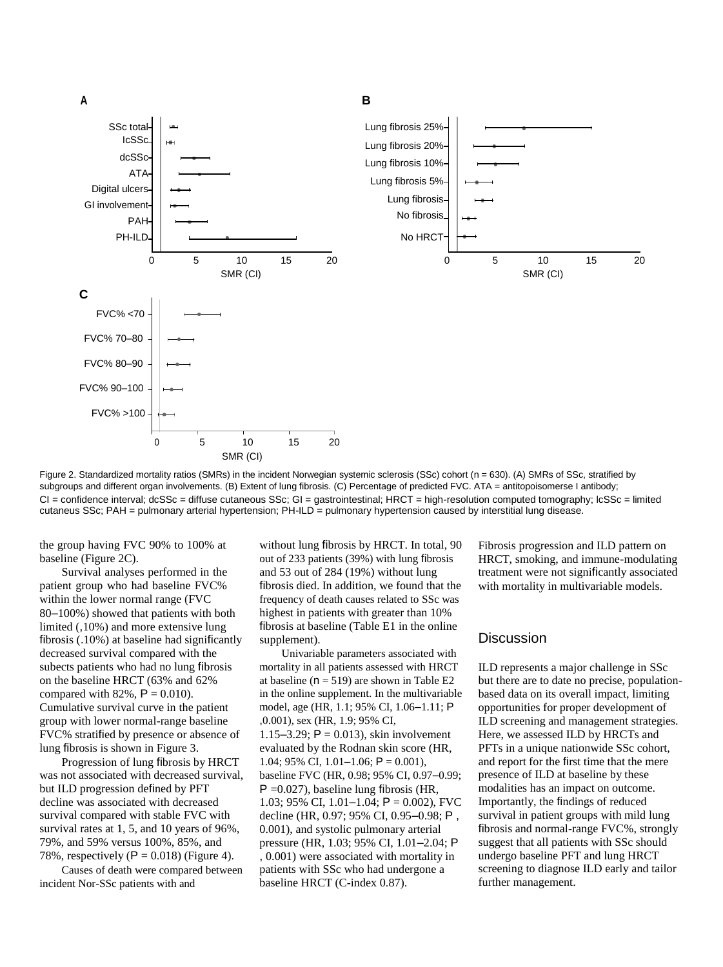

Figure 2. Standardized mortality ratios (SMRs) in the incident Norwegian systemic sclerosis (SSc) cohort (n = 630). (A) SMRs of SSc, stratified by subgroups and different organ involvements. (B) Extent of lung fibrosis. (C) Percentage of predicted FVC. ATA = antitopoisomerse I antibody; CI = confidence interval; dcSSc = diffuse cutaneous SSc; GI = gastrointestinal; HRCT = high-resolution computed tomography; lcSSc = limited cutaneus SSc; PAH = pulmonary arterial hypertension; PH-ILD = pulmonary hypertension caused by interstitial lung disease.

the group having FVC 90% to 100% at baseline (Figure 2C).

Survival analyses performed in the patient group who had baseline FVC% within the lower normal range (FVC 80–100%) showed that patients with both limited (,10%) and more extensive lung fibrosis (.10%) at baseline had significantly decreased survival compared with the subects patients who had no lung fibrosis on the baseline HRCT (63% and 62% compared with 82%,  $P = 0.010$ . Cumulative survival curve in the patient group with lower normal-range baseline FVC% stratified by presence or absence of lung fibrosis is shown in Figure 3.

Progression of lung fibrosis by HRCT was not associated with decreased survival, but ILD progression defined by PFT decline was associated with decreased survival compared with stable FVC with survival rates at 1, 5, and 10 years of 96%, 79%, and 59% versus 100%, 85%, and 78%, respectively ( $P = 0.018$ ) (Figure 4).

Causes of death were compared between incident Nor-SSc patients with and

without lung fibrosis by HRCT. In total, 90 out of 233 patients (39%) with lung fibrosis and 53 out of 284 (19%) without lung fibrosis died. In addition, we found that the frequency of death causes related to SSc was highest in patients with greater than 10% fibrosis at baseline (Table E1 in the online supplement).

Univariable parameters associated with mortality in all patients assessed with HRCT at baseline ( $n = 519$ ) are shown in Table E2 in the online supplement. In the multivariable model, age (HR, 1.1; 95% CI, 1.06–1.11; P ,0.001), sex (HR, 1.9; 95% CI, 1.15–3.29;  $P = 0.013$ ), skin involvement evaluated by the Rodnan skin score (HR, 1.04; 95% CI, 1.01–1.06;  $P = 0.001$ ), baseline FVC (HR, 0.98; 95% CI, 0.97–0.99;  $P = 0.027$ , baseline lung fibrosis (HR, 1.03; 95% CI, 1.01–1.04;  $P = 0.002$ ), FVC decline (HR, 0.97; 95% CI, 0.95–0.98; P , 0.001), and systolic pulmonary arterial pressure (HR, 1.03; 95% CI, 1.01–2.04; P , 0.001) were associated with mortality in patients with SSc who had undergone a baseline HRCT (C-index 0.87).

Fibrosis progression and ILD pattern on HRCT, smoking, and immune-modulating treatment were not significantly associated with mortality in multivariable models.

## **Discussion**

ILD represents a major challenge in SSc but there are to date no precise, populationbased data on its overall impact, limiting opportunities for proper development of ILD screening and management strategies. Here, we assessed ILD by HRCTs and PFTs in a unique nationwide SSc cohort, and report for the first time that the mere presence of ILD at baseline by these modalities has an impact on outcome. Importantly, the findings of reduced survival in patient groups with mild lung fibrosis and normal-range FVC%, strongly suggest that all patients with SSc should undergo baseline PFT and lung HRCT screening to diagnose ILD early and tailor further management.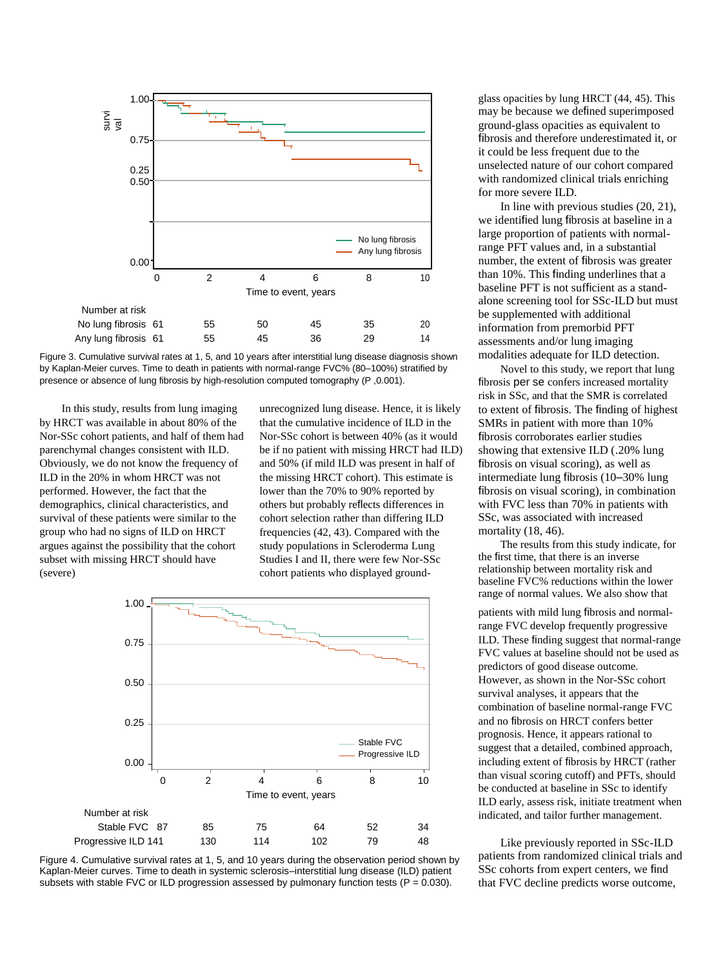

Figure 3. Cumulative survival rates at 1, 5, and 10 years after interstitial lung disease diagnosis shown by Kaplan-Meier curves. Time to death in patients with normal-range FVC% (80–100%) stratified by presence or absence of lung fibrosis by high-resolution computed tomography (P ,0.001).

In this study, results from lung imaging by HRCT was available in about 80% of the Nor-SSc cohort patients, and half of them had parenchymal changes consistent with ILD. Obviously, we do not know the frequency of ILD in the 20% in whom HRCT was not performed. However, the fact that the demographics, clinical characteristics, and survival of these patients were similar to the group who had no signs of ILD on HRCT argues against the possibility that the cohort subset with missing HRCT should have (severe)

unrecognized lung disease. Hence, it is likely that the cumulative incidence of ILD in the Nor-SSc cohort is between 40% (as it would be if no patient with missing HRCT had ILD) and 50% (if mild ILD was present in half of the missing HRCT cohort). This estimate is lower than the 70% to 90% reported by others but probably reflects differences in cohort selection rather than differing ILD frequencies (42, 43). Compared with the study populations in Scleroderma Lung Studies I and II, there were few Nor-SSc cohort patients who displayed ground-





glass opacities by lung HRCT (44, 45). This may be because we defined superimposed ground-glass opacities as equivalent to fibrosis and therefore underestimated it, or it could be less frequent due to the unselected nature of our cohort compared with randomized clinical trials enriching for more severe ILD.

In line with previous studies (20, 21), we identified lung fibrosis at baseline in a large proportion of patients with normalrange PFT values and, in a substantial number, the extent of fibrosis was greater than 10%. This finding underlines that a baseline PFT is not sufficient as a standalone screening tool for SSc-ILD but must be supplemented with additional information from premorbid PFT assessments and/or lung imaging modalities adequate for ILD detection.

Novel to this study, we report that lung fibrosis per se confers increased mortality risk in SSc, and that the SMR is correlated to extent of fibrosis. The finding of highest SMRs in patient with more than 10% fibrosis corroborates earlier studies showing that extensive ILD (.20% lung fibrosis on visual scoring), as well as intermediate lung fibrosis (10–30% lung fibrosis on visual scoring), in combination with FVC less than 70% in patients with SSc, was associated with increased mortality (18, 46).

The results from this study indicate, for the first time, that there is an inverse relationship between mortality risk and baseline FVC% reductions within the lower range of normal values. We also show that

patients with mild lung fibrosis and normalrange FVC develop frequently progressive ILD. These finding suggest that normal-range FVC values at baseline should not be used as predictors of good disease outcome. However, as shown in the Nor-SSc cohort survival analyses, it appears that the combination of baseline normal-range FVC and no fibrosis on HRCT confers better prognosis. Hence, it appears rational to suggest that a detailed, combined approach, including extent of fibrosis by HRCT (rather than visual scoring cutoff) and PFTs, should be conducted at baseline in SSc to identify ILD early, assess risk, initiate treatment when indicated, and tailor further management.

Like previously reported in SSc-ILD patients from randomized clinical trials and SSc cohorts from expert centers, we find that FVC decline predicts worse outcome,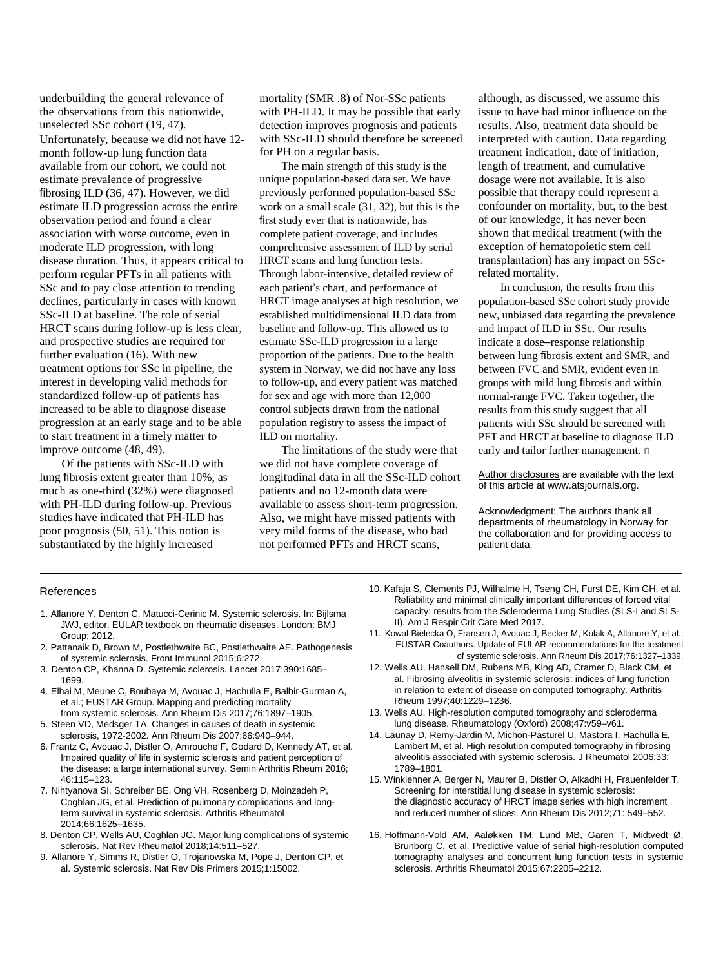underbuilding the general relevance of the observations from this nationwide, unselected SSc cohort (19, 47). Unfortunately, because we did not have 12 month follow-up lung function data available from our cohort, we could not estimate prevalence of progressive fibrosing ILD (36, 47). However, we did estimate ILD progression across the entire observation period and found a clear association with worse outcome, even in moderate ILD progression, with long disease duration. Thus, it appears critical to perform regular PFTs in all patients with SSc and to pay close attention to trending declines, particularly in cases with known SSc-ILD at baseline. The role of serial HRCT scans during follow-up is less clear, and prospective studies are required for further evaluation (16). With new treatment options for SSc in pipeline, the interest in developing valid methods for standardized follow-up of patients has increased to be able to diagnose disease progression at an early stage and to be able to start treatment in a timely matter to improve outcome (48, 49).

Of the patients with SSc-ILD with lung fibrosis extent greater than 10%, as much as one-third (32%) were diagnosed with PH-ILD during follow-up. Previous studies have indicated that PH-ILD has poor prognosis (50, 51). This notion is substantiated by the highly increased

mortality (SMR .8) of Nor-SSc patients with PH-ILD. It may be possible that early detection improves prognosis and patients with SSc-ILD should therefore be screened for PH on a regular basis.

The main strength of this study is the unique population-based data set. We have previously performed population-based SSc work on a small scale (31, 32), but this is the first study ever that is nationwide, has complete patient coverage, and includes comprehensive assessment of ILD by serial HRCT scans and lung function tests. Through labor-intensive, detailed review of each patient's chart, and performance of HRCT image analyses at high resolution, we established multidimensional ILD data from baseline and follow-up. This allowed us to estimate SSc-ILD progression in a large proportion of the patients. Due to the health system in Norway, we did not have any loss to follow-up, and every patient was matched for sex and age with more than 12,000 control subjects drawn from the national population registry to assess the impact of ILD on mortality.

The limitations of the study were that we did not have complete coverage of longitudinal data in all the SSc-ILD cohort patients and no 12-month data were available to assess short-term progression. Also, we might have missed patients with very mild forms of the disease, who had not performed PFTs and HRCT scans,

although, as discussed, we assume this issue to have had minor influence on the results. Also, treatment data should be interpreted with caution. Data regarding treatment indication, date of initiation, length of treatment, and cumulative dosage were not available. It is also possible that therapy could represent a confounder on mortality, but, to the best of our knowledge, it has never been shown that medical treatment (with the exception of hematopoietic stem cell transplantation) has any impact on SScrelated mortality.

In conclusion, the results from this population-based SSc cohort study provide new, unbiased data regarding the prevalence and impact of ILD in SSc. Our results indicate a dose–response relationship between lung fibrosis extent and SMR, and between FVC and SMR, evident even in groups with mild lung fibrosis and within normal-range FVC. Taken together, the results from this study suggest that all patients with SSc should be screened with PFT and HRCT at baseline to diagnose ILD early and tailor further management. n

[Author disclosures](http://www.atsjournals.org/doi/suppl/10.1164/rccm.201903-0486OC/suppl_file/disclosures.pdf) are available with the text of this article at [www.atsjournals.org.](http://www.atsjournals.org/)

Acknowledgment: The authors thank all departments of rheumatology in Norway for the collaboration and for providing access to patient data.

#### References

- 1. Allanore Y, Denton C, Matucci-Cerinic M. Systemic sclerosis. In: Bijlsma JWJ, editor. EULAR textbook on rheumatic diseases. London: BMJ Group; 2012.
- 2. Pattanaik D, Brown M, Postlethwaite BC, Postlethwaite AE. Pathogenesis of systemic sclerosis. Front Immunol 2015;6:272.
- 3. Denton CP, Khanna D. Systemic sclerosis. Lancet 2017;390:1685– 1699.
- 4. Elhai M, Meune C, Boubaya M, Avouac J, Hachulla E, Balbir-Gurman A, et al.; EUSTAR Group. Mapping and predicting mortality from systemic sclerosis. Ann Rheum Dis 2017;76:1897–1905.
- 5. Steen VD, Medsger TA. Changes in causes of death in systemic sclerosis, 1972-2002. Ann Rheum Dis 2007;66:940–944.
- 6. Frantz C, Avouac J, Distler O, Amrouche F, Godard D, Kennedy AT, et al. Impaired quality of life in systemic sclerosis and patient perception of the disease: a large international survey. Semin Arthritis Rheum 2016; 46:115–123.
- 7. Nihtyanova SI, Schreiber BE, Ong VH, Rosenberg D, Moinzadeh P, Coghlan JG, et al. Prediction of pulmonary complications and longterm survival in systemic sclerosis. Arthritis Rheumatol 2014;66:1625–1635.
- 8. Denton CP, Wells AU, Coghlan JG. Major lung complications of systemic sclerosis. Nat Rev Rheumatol 2018;14:511–527.
- 9. Allanore Y, Simms R, Distler O, Trojanowska M, Pope J, Denton CP, et al. Systemic sclerosis. Nat Rev Dis Primers 2015;1:15002.
- 10. Kafaja S, Clements PJ, Wilhalme H, Tseng CH, Furst DE, Kim GH, et al. Reliability and minimal clinically important differences of forced vital capacity: results from the Scleroderma Lung Studies (SLS-I and SLS-II). Am J Respir Crit Care Med 2017.
- 11. Kowal-Bielecka O, Fransen J, Avouac J, Becker M, Kulak A, Allanore Y, et al.; EUSTAR Coauthors. Update of EULAR recommendations for the treatment of systemic sclerosis. Ann Rheum Dis 2017;76:1327–1339.
- 12. Wells AU, Hansell DM, Rubens MB, King AD, Cramer D, Black CM, et al. Fibrosing alveolitis in systemic sclerosis: indices of lung function in relation to extent of disease on computed tomography. Arthritis Rheum 1997;40:1229–1236.
- 13. Wells AU. High-resolution computed tomography and scleroderma lung disease. Rheumatology (Oxford) 2008;47:v59–v61.
- 14. Launay D, Remy-Jardin M, Michon-Pasturel U, Mastora I, Hachulla E, Lambert M, et al. High resolution computed tomography in fibrosing alveolitis associated with systemic sclerosis. J Rheumatol 2006;33: 1789–1801.
- 15. Winklehner A, Berger N, Maurer B, Distler O, Alkadhi H, Frauenfelder T. Screening for interstitial lung disease in systemic sclerosis: the diagnostic accuracy of HRCT image series with high increment and reduced number of slices. Ann Rheum Dis 2012;71: 549–552.
- 16. Hoffmann-Vold AM, Aaløkken TM, Lund MB, Garen T, Midtvedt Ø, Brunborg C, et al. Predictive value of serial high-resolution computed tomography analyses and concurrent lung function tests in systemic sclerosis. Arthritis Rheumatol 2015;67:2205–2212.